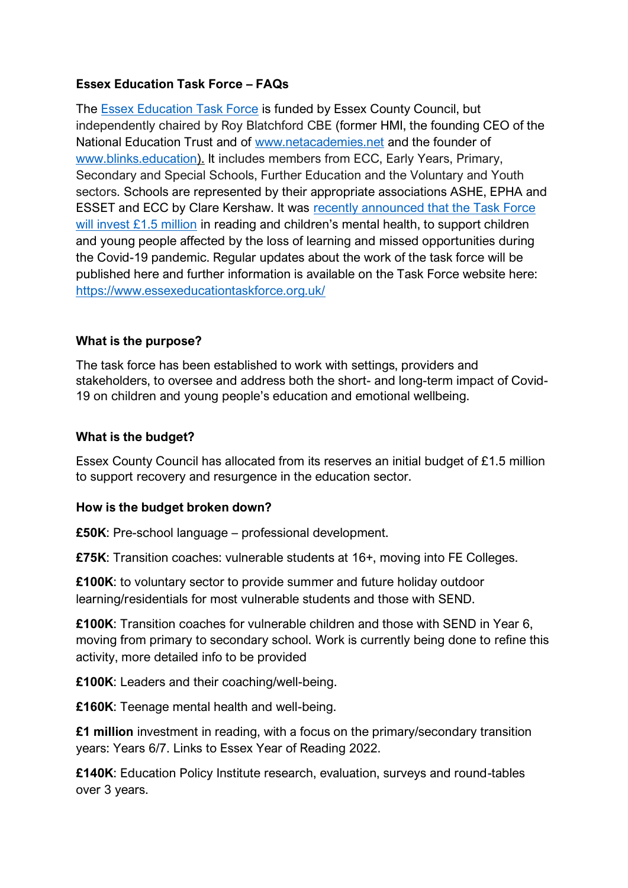# **Essex Education Task Force – FAQs**

The [Essex Education Task Force](https://eur02.safelinks.protection.outlook.com/?url=https%3A%2F%2Fwww.essex.gov.uk%2Fnews%2Feducation-recovery-a-priority-for-essex&data=04%7C01%7C%7Cbf7621decbf44b5f288b08d99a2072fb%7Ca8b4324f155c4215a0f17ed8cc9a992f%7C0%7C0%7C637710286416820865%7CUnknown%7CTWFpbGZsb3d8eyJWIjoiMC4wLjAwMDAiLCJQIjoiV2luMzIiLCJBTiI6Ik1haWwiLCJXVCI6Mn0%3D%7C1000&sdata=VMPLriMZjM9fQxQ879oM%2Fb0OV5UK8Z2AEvNRorknkis%3D&reserved=0) is funded by Essex County Council, but independently chaired by Roy Blatchford CBE (former HMI, the founding CEO of the National Education Trust and of [www.netacademies.net](https://eur02.safelinks.protection.outlook.com/?url=http%3A%2F%2Fwww.netacademies.net%2F&data=04%7C01%7C%7Cbf7621decbf44b5f288b08d99a2072fb%7Ca8b4324f155c4215a0f17ed8cc9a992f%7C0%7C0%7C637710286416830860%7CUnknown%7CTWFpbGZsb3d8eyJWIjoiMC4wLjAwMDAiLCJQIjoiV2luMzIiLCJBTiI6Ik1haWwiLCJXVCI6Mn0%3D%7C1000&sdata=7WdFQP7peHBk1C2YV00dF0ppKrBv0V8D1zeZUst5b5Q%3D&reserved=0) and the founder of [www.blinks.education\)](https://eur02.safelinks.protection.outlook.com/?url=http%3A%2F%2Fwww.blinks.education%2F&data=04%7C01%7C%7Cbf7621decbf44b5f288b08d99a2072fb%7Ca8b4324f155c4215a0f17ed8cc9a992f%7C0%7C0%7C637710286416830860%7CUnknown%7CTWFpbGZsb3d8eyJWIjoiMC4wLjAwMDAiLCJQIjoiV2luMzIiLCJBTiI6Ik1haWwiLCJXVCI6Mn0%3D%7C1000&sdata=%2BE3LCJu853qZKVS%2FL%2BfGkgxrvig%2BjM%2BHHlJ14N8hRxw%3D&reserved=0). It includes members from ECC, Early Years, Primary, Secondary and Special Schools, Further Education and the Voluntary and Youth sectors. Schools are represented by their appropriate associations ASHE, EPHA and ESSET and ECC by Clare Kershaw. It was [recently announced that the Task Force](https://eur02.safelinks.protection.outlook.com/?url=https%3A%2F%2Fwww.essex.gov.uk%2Fnews%2Fessex-education-task-force-unveils-plan-for-education-renewal&data=04%7C01%7C%7Cbf7621decbf44b5f288b08d99a2072fb%7Ca8b4324f155c4215a0f17ed8cc9a992f%7C0%7C0%7C637710286416840854%7CUnknown%7CTWFpbGZsb3d8eyJWIjoiMC4wLjAwMDAiLCJQIjoiV2luMzIiLCJBTiI6Ik1haWwiLCJXVCI6Mn0%3D%7C1000&sdata=89rp%2B%2Bn1K9qknF9B5%2Fb8Txgr1zcpLVRJPf5bplS2jYA%3D&reserved=0)  [will invest £1.5 million](https://eur02.safelinks.protection.outlook.com/?url=https%3A%2F%2Fwww.essex.gov.uk%2Fnews%2Fessex-education-task-force-unveils-plan-for-education-renewal&data=04%7C01%7C%7Cbf7621decbf44b5f288b08d99a2072fb%7Ca8b4324f155c4215a0f17ed8cc9a992f%7C0%7C0%7C637710286416840854%7CUnknown%7CTWFpbGZsb3d8eyJWIjoiMC4wLjAwMDAiLCJQIjoiV2luMzIiLCJBTiI6Ik1haWwiLCJXVCI6Mn0%3D%7C1000&sdata=89rp%2B%2Bn1K9qknF9B5%2Fb8Txgr1zcpLVRJPf5bplS2jYA%3D&reserved=0) in reading and children's mental health, to support children and young people affected by the loss of learning and missed opportunities during the Covid-19 pandemic. Regular updates about the work of the task force will be published here and further information is available on the Task Force website here: [https://www.essexeducationtaskforce.org.uk/](https://eur02.safelinks.protection.outlook.com/?url=https%3A%2F%2Fwww.essexeducationtaskforce.org.uk%2F&data=04%7C01%7C%7Cbf7621decbf44b5f288b08d99a2072fb%7Ca8b4324f155c4215a0f17ed8cc9a992f%7C0%7C0%7C637710286416840854%7CUnknown%7CTWFpbGZsb3d8eyJWIjoiMC4wLjAwMDAiLCJQIjoiV2luMzIiLCJBTiI6Ik1haWwiLCJXVCI6Mn0%3D%7C1000&sdata=O7OXt6yUmQjTOlSzamcyDyIx3xYKdbOmgfh7ALUImjs%3D&reserved=0)

### **What is the purpose?**

The task force has been established to work with settings, providers and stakeholders, to oversee and address both the short- and long-term impact of Covid-19 on children and young people's education and emotional wellbeing.

### **What is the budget?**

Essex County Council has allocated from its reserves an initial budget of £1.5 million to support recovery and resurgence in the education sector.

#### **How is the budget broken down?**

**£50K**: Pre-school language – professional development.

**£75K**: Transition coaches: vulnerable students at 16+, moving into FE Colleges.

**£100K**: to voluntary sector to provide summer and future holiday outdoor learning/residentials for most vulnerable students and those with SEND.

**£100K**: Transition coaches for vulnerable children and those with SEND in Year 6, moving from primary to secondary school. Work is currently being done to refine this activity, more detailed info to be provided

**£100K**: Leaders and their coaching/well-being.

**£160K**: Teenage mental health and well-being.

**£1 million** investment in reading, with a focus on the primary/secondary transition years: Years 6/7. Links to Essex Year of Reading 2022.

**£140K**: Education Policy Institute research, evaluation, surveys and round-tables over 3 years.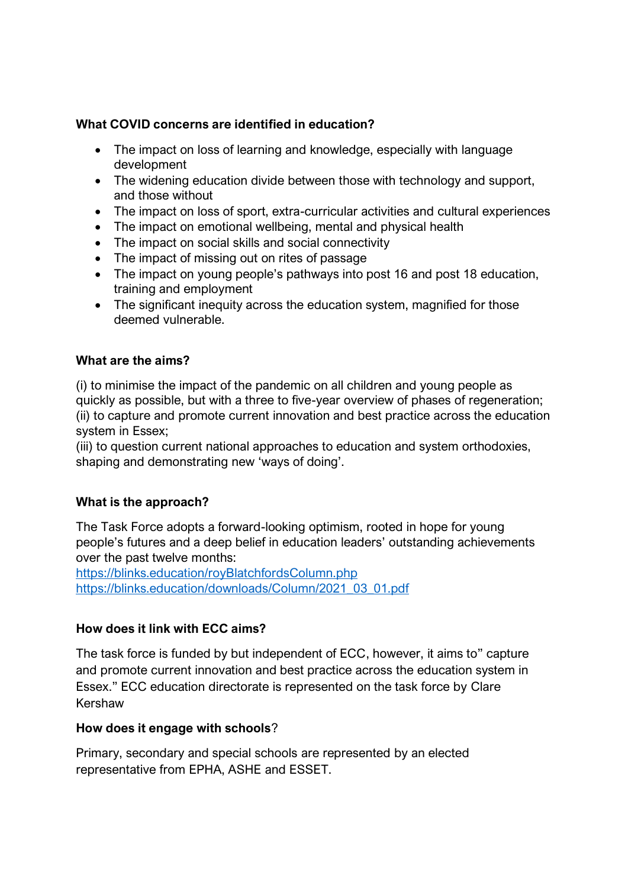# **What COVID concerns are identified in education?**

- The impact on loss of learning and knowledge, especially with language development
- The widening education divide between those with technology and support, and those without
- The impact on loss of sport, extra-curricular activities and cultural experiences
- The impact on emotional wellbeing, mental and physical health
- The impact on social skills and social connectivity
- The impact of missing out on rites of passage
- The impact on young people's pathways into post 16 and post 18 education, training and employment
- The significant inequity across the education system, magnified for those deemed vulnerable.

### **What are the aims?**

(i) to minimise the impact of the pandemic on all children and young people as quickly as possible, but with a three to five-year overview of phases of regeneration; (ii) to capture and promote current innovation and best practice across the education system in Essex;

(iii) to question current national approaches to education and system orthodoxies, shaping and demonstrating new 'ways of doing'.

# **What is the approach?**

The Task Force adopts a forward-looking optimism, rooted in hope for young people's futures and a deep belief in education leaders' outstanding achievements over the past twelve months:

<https://blinks.education/royBlatchfordsColumn.php> [https://blinks.education/downloads/Column/2021\\_03\\_01.pdf](https://blinks.education/downloads/Column/2021_03_01.pdf)

# **How does it link with ECC aims?**

The task force is funded by but independent of ECC, however, it aims to" capture and promote current innovation and best practice across the education system in Essex." ECC education directorate is represented on the task force by Clare Kershaw

# **How does it engage with schools**?

Primary, secondary and special schools are represented by an elected representative from EPHA, ASHE and ESSET.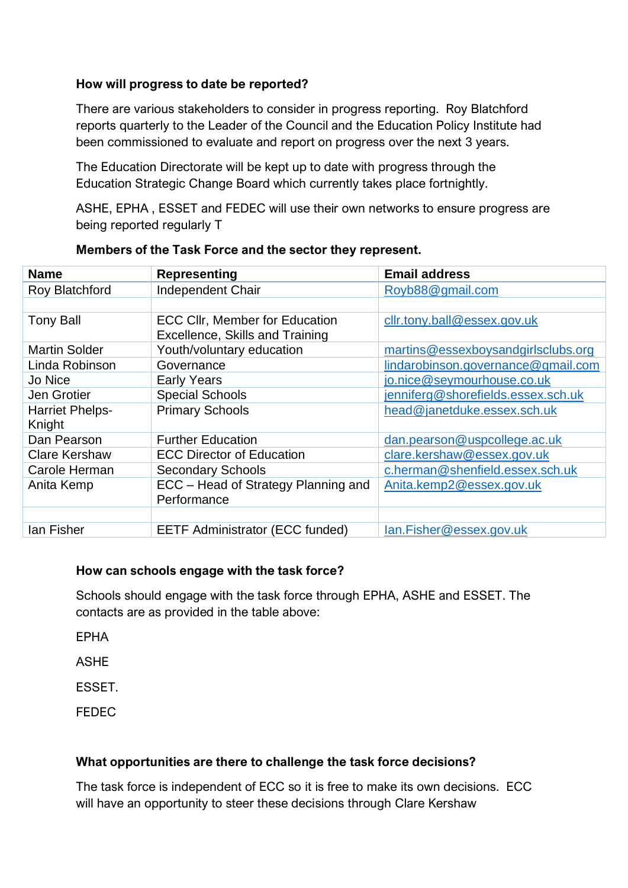### **How will progress to date be reported?**

There are various stakeholders to consider in progress reporting. Roy Blatchford reports quarterly to the Leader of the Council and the Education Policy Institute had been commissioned to evaluate and report on progress over the next 3 years.

The Education Directorate will be kept up to date with progress through the Education Strategic Change Board which currently takes place fortnightly.

ASHE, EPHA , ESSET and FEDEC will use their own networks to ensure progress are being reported regularly T

| <b>Name</b>            | <b>Representing</b>                    | <b>Email address</b>               |
|------------------------|----------------------------------------|------------------------------------|
| Roy Blatchford         | <b>Independent Chair</b>               | Royb88@gmail.com                   |
|                        |                                        |                                    |
| <b>Tony Ball</b>       | <b>ECC CIIr, Member for Education</b>  | cllr.tony.ball@essex.gov.uk        |
|                        | Excellence, Skills and Training        |                                    |
| <b>Martin Solder</b>   | Youth/voluntary education              | martins@essexboysandgirlsclubs.org |
| Linda Robinson         | Governance                             | lindarobinson.governance@gmail.com |
| Jo Nice                | <b>Early Years</b>                     | jo.nice@seymourhouse.co.uk         |
| Jen Grotier            | <b>Special Schools</b>                 | jenniferg@shorefields.essex.sch.uk |
| <b>Harriet Phelps-</b> | <b>Primary Schools</b>                 | head@janetduke.essex.sch.uk        |
| Knight                 |                                        |                                    |
| Dan Pearson            | <b>Further Education</b>               | dan.pearson@uspcollege.ac.uk       |
| <b>Clare Kershaw</b>   | <b>ECC Director of Education</b>       | clare.kershaw@essex.gov.uk         |
| Carole Herman          | <b>Secondary Schools</b>               | c.herman@shenfield.essex.sch.uk    |
| Anita Kemp             | ECC - Head of Strategy Planning and    | Anita.kemp2@essex.gov.uk           |
|                        | Performance                            |                                    |
|                        |                                        |                                    |
| lan Fisher             | <b>EETF Administrator (ECC funded)</b> | lan.Fisher@essex.gov.uk            |

#### **Members of the Task Force and the sector they represent.**

#### **How can schools engage with the task force?**

Schools should engage with the task force through EPHA, ASHE and ESSET. The contacts are as provided in the table above:

EPHA

ASHE

ESSET.

FEDEC

# **What opportunities are there to challenge the task force decisions?**

The task force is independent of ECC so it is free to make its own decisions. ECC will have an opportunity to steer these decisions through Clare Kershaw